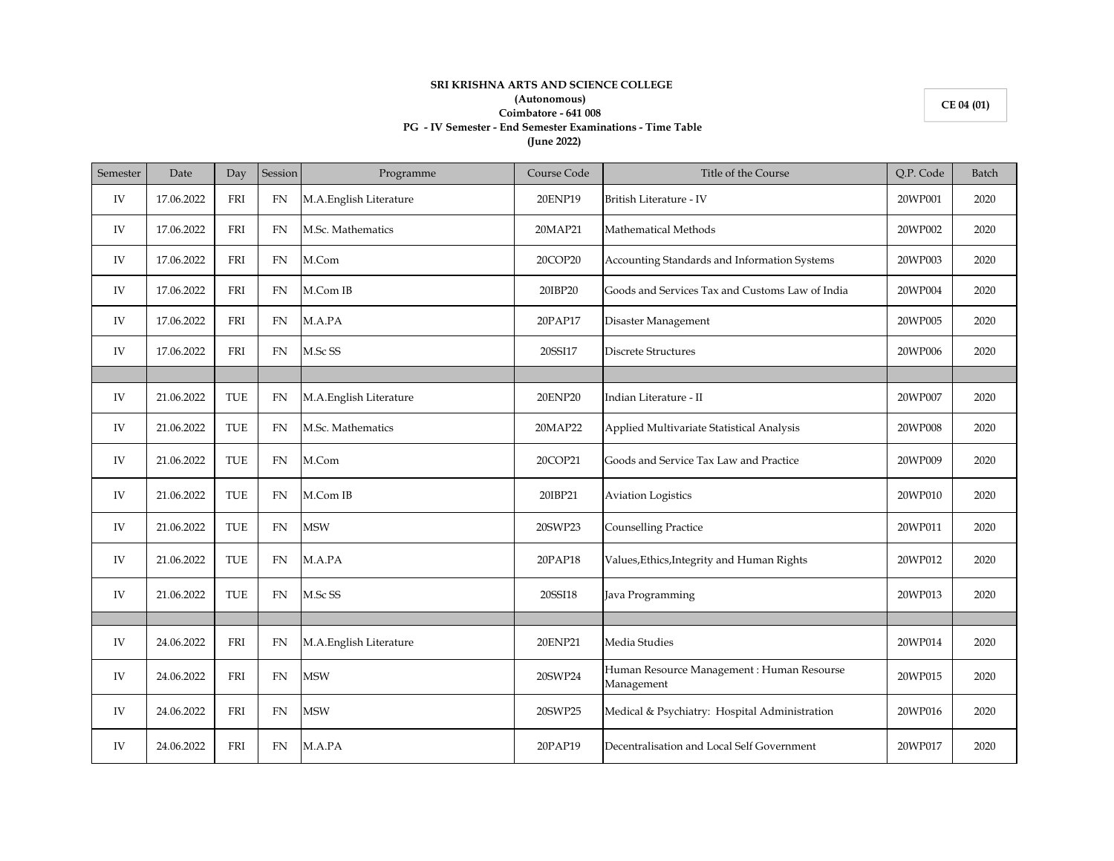## **SRI KRISHNA ARTS AND SCIENCE COLLEGE (Autonomous) Coimbatore - 641 008 PG - IV Semester - End Semester Examinations - Time Table (June 2022)**

**CE 04 (01)**

| Semester | Date       | Day        | Session   | Programme              | Course Code | Title of the Course                                      | Q.P. Code | Batch |
|----------|------------|------------|-----------|------------------------|-------------|----------------------------------------------------------|-----------|-------|
| IV       | 17.06.2022 | FRI        | FN        | M.A.English Literature | 20ENP19     | British Literature - IV                                  | 20WP001   | 2020  |
| IV       | 17.06.2022 | FRI        | <b>FN</b> | M.Sc. Mathematics      | 20MAP21     | Mathematical Methods                                     | 20WP002   | 2020  |
| IV       | 17.06.2022 | FRI        | <b>FN</b> | M.Com                  | 20COP20     | Accounting Standards and Information Systems             | 20WP003   | 2020  |
| IV       | 17.06.2022 | FRI        | <b>FN</b> | M.Com IB               | 20IBP20     | Goods and Services Tax and Customs Law of India          | 20WP004   | 2020  |
| IV       | 17.06.2022 | FRI        | FN        | M.A.PA                 | 20PAP17     | Disaster Management                                      | 20WP005   | 2020  |
| IV       | 17.06.2022 | FRI        | <b>FN</b> | M.Sc SS                | 20SSI17     | <b>Discrete Structures</b>                               | 20WP006   | 2020  |
|          |            |            |           |                        |             |                                                          |           |       |
| IV       | 21.06.2022 | <b>TUE</b> | FN        | M.A.English Literature | 20ENP20     | Indian Literature - II                                   | 20WP007   | 2020  |
| IV       | 21.06.2022 | TUE        | <b>FN</b> | M.Sc. Mathematics      | 20MAP22     | Applied Multivariate Statistical Analysis                | 20WP008   | 2020  |
| IV       | 21.06.2022 | TUE        | FN        | M.Com                  | 20COP21     | Goods and Service Tax Law and Practice                   | 20WP009   | 2020  |
| IV       | 21.06.2022 | <b>TUE</b> | FN        | M.Com IB               | 20IBP21     | <b>Aviation Logistics</b>                                | 20WP010   | 2020  |
| IV       | 21.06.2022 | <b>TUE</b> | <b>FN</b> | <b>MSW</b>             | 20SWP23     | <b>Counselling Practice</b>                              | 20WP011   | 2020  |
| IV       | 21.06.2022 | TUE        | FN        | M.A.PA                 | 20PAP18     | Values, Ethics, Integrity and Human Rights               | 20WP012   | 2020  |
| IV       | 21.06.2022 | <b>TUE</b> | <b>FN</b> | M.Sc SS                | 20SSI18     | Java Programming                                         | 20WP013   | 2020  |
|          |            |            |           |                        |             |                                                          |           |       |
| IV       | 24.06.2022 | <b>FRI</b> | <b>FN</b> | M.A.English Literature | 20ENP21     | Media Studies                                            | 20WP014   | 2020  |
| IV       | 24.06.2022 | FRI        | <b>FN</b> | <b>MSW</b>             | 20SWP24     | Human Resource Management : Human Resourse<br>Management | 20WP015   | 2020  |
| IV       | 24.06.2022 | FRI        | <b>FN</b> | <b>MSW</b>             | 20SWP25     | Medical & Psychiatry: Hospital Administration            | 20WP016   | 2020  |
| IV       | 24.06.2022 | FRI        | FN        | M.A.PA                 | 20PAP19     | Decentralisation and Local Self Government               | 20WP017   | 2020  |